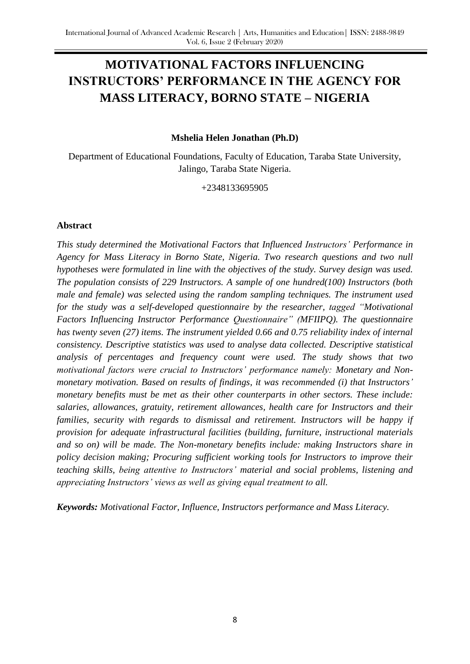# **MOTIVATIONAL FACTORS INFLUENCING INSTRUCTORS' PERFORMANCE IN THE AGENCY FOR MASS LITERACY, BORNO STATE – NIGERIA**

## **Mshelia Helen Jonathan (Ph.D)**

Department of Educational Foundations, Faculty of Education, Taraba State University, Jalingo, Taraba State Nigeria.

+2348133695905

### **Abstract**

*This study determined the Motivational Factors that Influenced Instructors' Performance in Agency for Mass Literacy in Borno State, Nigeria. Two research questions and two null hypotheses were formulated in line with the objectives of the study. Survey design was used. The population consists of 229 Instructors. A sample of one hundred(100) Instructors (both male and female) was selected using the random sampling techniques. The instrument used for the study was a self-developed questionnaire by the researcher, tagged "Motivational Factors Influencing Instructor Performance Questionnaire" (MFIIPQ). The questionnaire has twenty seven (27) items. The instrument yielded 0.66 and 0.75 reliability index of internal consistency. Descriptive statistics was used to analyse data collected. Descriptive statistical analysis of percentages and frequency count were used. The study shows that two motivational factors were crucial to Instructors' performance namely: Monetary and Nonmonetary motivation. Based on results of findings, it was recommended (i) that Instructors' monetary benefits must be met as their other counterparts in other sectors. These include: salaries, allowances, gratuity, retirement allowances, health care for Instructors and their families, security with regards to dismissal and retirement. Instructors will be happy if provision for adequate infrastructural facilities (building, furniture, instructional materials and so on) will be made. The Non-monetary benefits include: making Instructors share in policy decision making; Procuring sufficient working tools for Instructors to improve their teaching skills, being attentive to Instructors' material and social problems, listening and appreciating Instructors' views as well as giving equal treatment to all.*

*Keywords: Motivational Factor, Influence, Instructors performance and Mass Literacy.*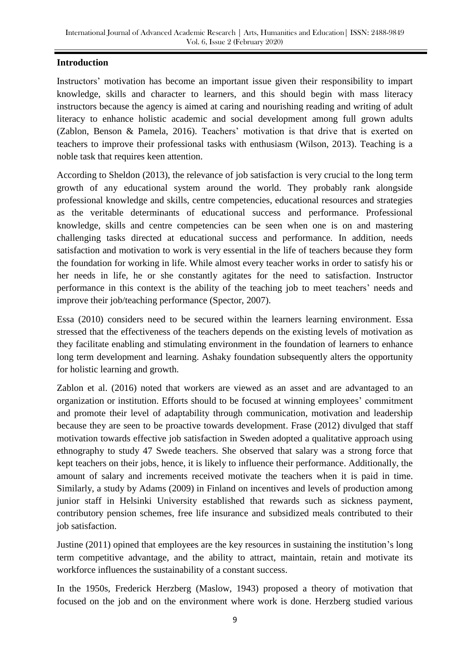## **Introduction**

Instructors' motivation has become an important issue given their responsibility to impart knowledge, skills and character to learners, and this should begin with mass literacy instructors because the agency is aimed at caring and nourishing reading and writing of adult literacy to enhance holistic academic and social development among full grown adults (Zablon, Benson & Pamela, 2016). Teachers' motivation is that drive that is exerted on teachers to improve their professional tasks with enthusiasm (Wilson, 2013). Teaching is a noble task that requires keen attention.

According to Sheldon (2013), the relevance of job satisfaction is very crucial to the long term growth of any educational system around the world. They probably rank alongside professional knowledge and skills, centre competencies, educational resources and strategies as the veritable determinants of educational success and performance. Professional knowledge, skills and centre competencies can be seen when one is on and mastering challenging tasks directed at educational success and performance. In addition, needs satisfaction and motivation to work is very essential in the life of teachers because they form the foundation for working in life. While almost every teacher works in order to satisfy his or her needs in life, he or she constantly agitates for the need to satisfaction. Instructor performance in this context is the ability of the teaching job to meet teachers' needs and improve their job/teaching performance (Spector, 2007).

Essa (2010) considers need to be secured within the learners learning environment. Essa stressed that the effectiveness of the teachers depends on the existing levels of motivation as they facilitate enabling and stimulating environment in the foundation of learners to enhance long term development and learning. Ashaky foundation subsequently alters the opportunity for holistic learning and growth.

Zablon et al. (2016) noted that workers are viewed as an asset and are advantaged to an organization or institution. Efforts should to be focused at winning employees' commitment and promote their level of adaptability through communication, motivation and leadership because they are seen to be proactive towards development. Frase (2012) divulged that staff motivation towards effective job satisfaction in Sweden adopted a qualitative approach using ethnography to study 47 Swede teachers. She observed that salary was a strong force that kept teachers on their jobs, hence, it is likely to influence their performance. Additionally, the amount of salary and increments received motivate the teachers when it is paid in time. Similarly, a study by Adams (2009) in Finland on incentives and levels of production among junior staff in Helsinki University established that rewards such as sickness payment, contributory pension schemes, free life insurance and subsidized meals contributed to their job satisfaction.

Justine (2011) opined that employees are the key resources in sustaining the institution's long term competitive advantage, and the ability to attract, maintain, retain and motivate its workforce influences the sustainability of a constant success.

In the 1950s, Frederick Herzberg (Maslow, 1943) proposed a theory of motivation that focused on the job and on the environment where work is done. Herzberg studied various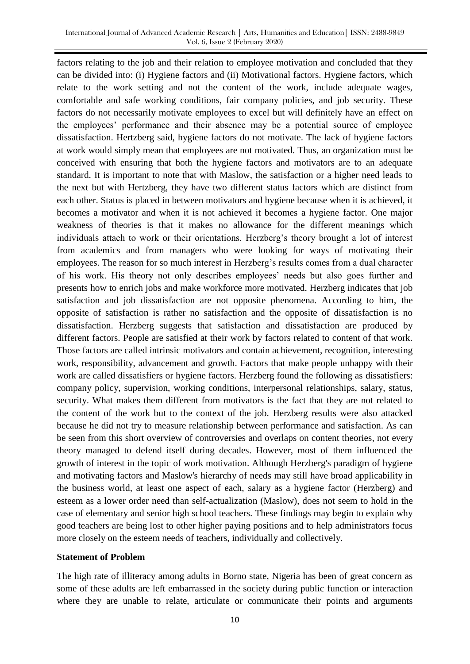factors relating to the job and their relation to employee motivation and concluded that they can be divided into: (i) Hygiene factors and (ii) Motivational factors. Hygiene factors, which relate to the work setting and not the content of the work, include adequate wages, comfortable and safe working conditions, fair company policies, and job security. These factors do not necessarily motivate employees to excel but will definitely have an effect on the employees' performance and their absence may be a potential source of employee dissatisfaction. Hertzberg said, hygiene factors do not motivate. The lack of hygiene factors at work would simply mean that employees are not motivated. Thus, an organization must be conceived with ensuring that both the hygiene factors and motivators are to an adequate standard. It is important to note that with Maslow, the satisfaction or a higher need leads to the next but with Hertzberg, they have two different status factors which are distinct from each other. Status is placed in between motivators and hygiene because when it is achieved, it becomes a motivator and when it is not achieved it becomes a hygiene factor. One major weakness of theories is that it makes no allowance for the different meanings which individuals attach to work or their orientations. Herzberg's theory brought a lot of interest from academics and from managers who were looking for ways of motivating their employees. The reason for so much interest in Herzberg's results comes from a dual character of his work. His theory not only describes employees' needs but also goes further and presents how to enrich jobs and make workforce more motivated. Herzberg indicates that job satisfaction and job dissatisfaction are not opposite phenomena. According to him, the opposite of satisfaction is rather no satisfaction and the opposite of dissatisfaction is no dissatisfaction. Herzberg suggests that satisfaction and dissatisfaction are produced by different factors. People are satisfied at their work by factors related to content of that work. Those factors are called intrinsic motivators and contain achievement, recognition, interesting work, responsibility, advancement and growth. Factors that make people unhappy with their work are called dissatisfiers or hygiene factors. Herzberg found the following as dissatisfiers: company policy, supervision, working conditions, interpersonal relationships, salary, status, security. What makes them different from motivators is the fact that they are not related to the content of the work but to the context of the job. Herzberg results were also attacked because he did not try to measure relationship between performance and satisfaction. As can be seen from this short overview of controversies and overlaps on content theories, not every theory managed to defend itself during decades. However, most of them influenced the growth of interest in the topic of work motivation. Although Herzberg's paradigm of hygiene and motivating factors and Maslow's hierarchy of needs may still have broad applicability in the business world, at least one aspect of each, salary as a hygiene factor (Herzberg) and esteem as a lower order need than self-actualization (Maslow), does not seem to hold in the case of elementary and senior high school teachers. These findings may begin to explain why good teachers are being lost to other higher paying positions and to help administrators focus more closely on the esteem needs of teachers, individually and collectively.

#### **Statement of Problem**

The high rate of illiteracy among adults in Borno state, Nigeria has been of great concern as some of these adults are left embarrassed in the society during public function or interaction where they are unable to relate, articulate or communicate their points and arguments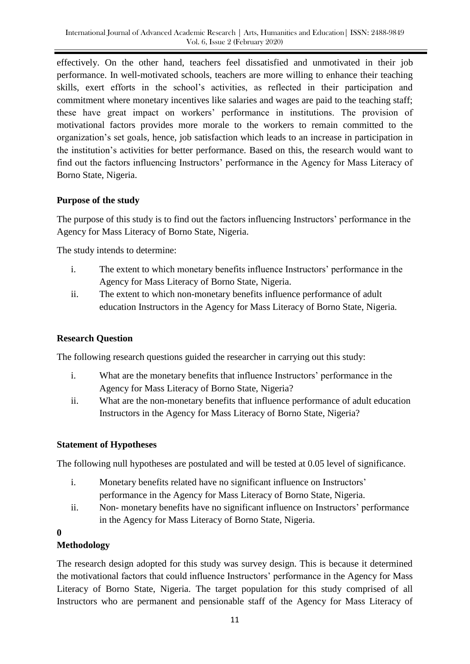effectively. On the other hand, teachers feel dissatisfied and unmotivated in their job performance. In well-motivated schools, teachers are more willing to enhance their teaching skills, exert efforts in the school's activities, as reflected in their participation and commitment where monetary incentives like salaries and wages are paid to the teaching staff; these have great impact on workers' performance in institutions. The provision of motivational factors provides more morale to the workers to remain committed to the organization's set goals, hence, job satisfaction which leads to an increase in participation in the institution's activities for better performance. Based on this, the research would want to find out the factors influencing Instructors' performance in the Agency for Mass Literacy of Borno State, Nigeria.

## **Purpose of the study**

The purpose of this study is to find out the factors influencing Instructors' performance in the Agency for Mass Literacy of Borno State, Nigeria.

The study intends to determine:

- i. The extent to which monetary benefits influence Instructors' performance in the Agency for Mass Literacy of Borno State, Nigeria.
- ii. The extent to which non-monetary benefits influence performance of adult education Instructors in the Agency for Mass Literacy of Borno State, Nigeria.

# **Research Question**

The following research questions guided the researcher in carrying out this study:

- i. What are the monetary benefits that influence Instructors' performance in the Agency for Mass Literacy of Borno State, Nigeria?
- ii. What are the non-monetary benefits that influence performance of adult education Instructors in the Agency for Mass Literacy of Borno State, Nigeria?

# **Statement of Hypotheses**

The following null hypotheses are postulated and will be tested at 0.05 level of significance.

- i. Monetary benefits related have no significant influence on Instructors' performance in the Agency for Mass Literacy of Borno State, Nigeria.
- ii. Non- monetary benefits have no significant influence on Instructors' performance in the Agency for Mass Literacy of Borno State, Nigeria.

### **0**

# **Methodology**

The research design adopted for this study was survey design. This is because it determined the motivational factors that could influence Instructors' performance in the Agency for Mass Literacy of Borno State, Nigeria. The target population for this study comprised of all Instructors who are permanent and pensionable staff of the Agency for Mass Literacy of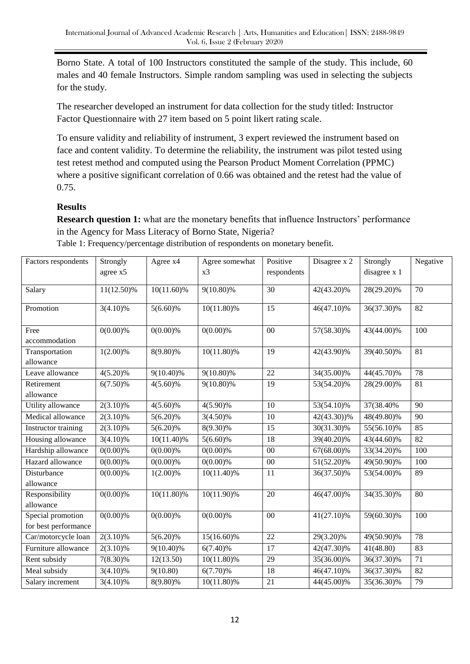Borno State. A total of 100 Instructors constituted the sample of the study. This include, 60 males and 40 female Instructors. Simple random sampling was used in selecting the subjects for the study.

The researcher developed an instrument for data collection for the study titled: Instructor Factor Questionnaire with 27 item based on 5 point likert rating scale.

To ensure validity and reliability of instrument, 3 expert reviewed the instrument based on face and content validity. To determine the reliability, the instrument was pilot tested using test retest method and computed using the Pearson Product Moment Correlation (PPMC) where a positive significant correlation of 0.66 was obtained and the retest had the value of 0.75.

## **Results**

**Research question 1:** what are the monetary benefits that influence Instructors' performance in the Agency for Mass Literacy of Borno State, Nigeria?

| Factors respondents  | Strongly    | Agree x4      | Agree somewhat | Positive        | Disagree x 2 | Strongly     | Negative        |
|----------------------|-------------|---------------|----------------|-----------------|--------------|--------------|-----------------|
|                      | agree x5    |               | x3             | respondents     |              | disagree x 1 |                 |
| Salary               | 11(12.50)%  | $10(11.60)\%$ | 9(10.80)%      | 30              | 42(43.20)%   | 28(29.20)%   | 70              |
|                      |             |               |                |                 |              |              |                 |
| Promotion            | $3(4.10)\%$ | $5(6.60)\%$   | 10(11.80)%     | 15              | 46(47.10)%   | 36(37.30)%   | 82              |
|                      |             |               |                |                 |              |              |                 |
| Free                 | $0(0.00)\%$ | $0(0.00)\%$   | $0(0.00)\%$    | 00              | 57(58.30)%   | 43(44.00)%   | 100             |
| accommodation        |             |               |                |                 |              |              |                 |
| Transportation       | $1(2.00)\%$ | $8(9.80)\%$   | $10(11.80)\%$  | 19              | 42(43.90)%   | 39(40.50)%   | $\overline{81}$ |
| allowance            |             |               |                |                 |              |              |                 |
| Leave allowance      | $4(5.20)\%$ | 9(10.40)%     | 9(10.80)%      | 22              | 34(35.00)%   | 44(45.70)%   | 78              |
| Retirement           | $6(7.50)\%$ | $4(5.60)\%$   | 9(10.80)%      | 19              | 53(54.20)%   | 28(29.00)%   | 81              |
| allowance            |             |               |                |                 |              |              |                 |
| Utility allowance    | $2(3.10)\%$ | $4(5.60)\%$   | $4(5.90)\%$    | 10              | 53(54.10)%   | 37(38.40%    | 90              |
| Medical allowance    | $2(3.10)\%$ | $5(6.20)\%$   | $3(4.50)\%$    | 10              | 42(43.30))%  | 48(49.80)%   | 90              |
| Instructor training  | $2(3.10)\%$ | $5(6.20)\%$   | $8(9.30)\%$    | 15              | 30(31.30)%   | 55(56.10)%   | 85              |
| Housing allowance    | $3(4.10)\%$ | 10(11.40)%    | $5(6.60)\%$    | 18              | 39(40.20)%   | 43(44.60)%   | 82              |
| Hardship allowance   | $0(0.00)\%$ | $0(0.00)\%$   | $0(0.00)\%$    | $00\,$          | 67(68.00)%   | 33(34.20)%   | 100             |
| Hazard allowance     | $0(0.00)\%$ | $0(0.00)\%$   | $0(0.00)\%$    | $00\,$          | 51(52.20)%   | 49(50.90)%   | 100             |
| Disturbance          | $0(0.00)\%$ | $1(2.00)\%$   | 10(11.40)%     | 11              | 36(37.50)%   | 53(54.00)%   | 89              |
| allowance            |             |               |                |                 |              |              |                 |
| Responsibility       | $0(0.00)\%$ | 10(11.80)%    | 10(11.90)%     | 20              | 46(47.00)%   | 34(35.30)%   | 80              |
| allowance            |             |               |                |                 |              |              |                 |
| Special promotion    | $0(0.00)\%$ | $0(0.00)\%$   | $0(0.00)\%$    | 00              | 41(27.10)%   | 59(60.30)%   | 100             |
| for best performance |             |               |                |                 |              |              |                 |
| Car/motorcycle loan  | $2(3.10)\%$ | $5(6.20)\%$   | 15(16.60)%     | $\overline{22}$ | 29(3.20)%    | 49(50.90)%   | 78              |
| Furniture allowance  | $2(3.10)\%$ | 9(10.40)%     | $6(7.40)\%$    | 17              | 42(47.30)%   | 41(48.80)    | 83              |
| Rent subsidy         | $7(8.30)\%$ | 12(13.50)     | 10(11.80)%     | 29              | 35(36.00)%   | 36(37.30)%   | 71              |
| Meal subsidy         | $3(4.10)\%$ | 9(10.80)      | $6(7.70)\%$    | 18              | 46(47.10)%   | 36(37.30)%   | 82              |
| Salary increment     | $3(4.10)\%$ | 8(9.80)%      | 10(11.80)%     | 21              | 44(45.00)%   | 35(36.30)%   | 79              |

Table 1: Frequency/percentage distribution of respondents on monetary benefit.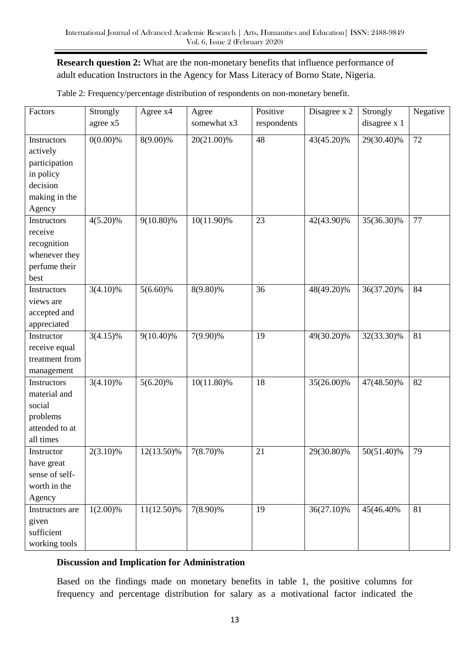## **Research question 2:** What are the non-monetary benefits that influence performance of adult education Instructors in the Agency for Mass Literacy of Borno State, Nigeria.

| Factors         | Strongly<br>agree x5 | Agree x4    | Agree<br>somewhat x3 | Positive<br>respondents | Disagree x 2 | Strongly<br>disagree x 1 | Negative |
|-----------------|----------------------|-------------|----------------------|-------------------------|--------------|--------------------------|----------|
|                 |                      |             |                      |                         |              |                          |          |
| Instructors     | $0(0.00)\%$          | 8(9.00)%    | 20(21.00)%           | 48                      | 43(45.20)%   | 29(30.40)%               | 72       |
| actively        |                      |             |                      |                         |              |                          |          |
| participation   |                      |             |                      |                         |              |                          |          |
| in policy       |                      |             |                      |                         |              |                          |          |
| decision        |                      |             |                      |                         |              |                          |          |
| making in the   |                      |             |                      |                         |              |                          |          |
| Agency          |                      |             |                      |                         |              |                          |          |
| Instructors     | $4(5.20)\%$          | 9(10.80)%   | 10(11.90)%           | 23                      | 42(43.90)%   | 35(36.30)%               | 77       |
| receive         |                      |             |                      |                         |              |                          |          |
| recognition     |                      |             |                      |                         |              |                          |          |
| whenever they   |                      |             |                      |                         |              |                          |          |
| perfume their   |                      |             |                      |                         |              |                          |          |
| best            |                      |             |                      |                         |              |                          |          |
| Instructors     | $3(4.10)\%$          | $5(6.60)\%$ | 8(9.80)%             | 36                      | 48(49.20)%   | 36(37.20)%               | 84       |
| views are       |                      |             |                      |                         |              |                          |          |
| accepted and    |                      |             |                      |                         |              |                          |          |
| appreciated     |                      |             |                      |                         |              |                          |          |
| Instructor      | $3(4.15)\%$          | 9(10.40)%   | 7(9.90)%             | 19                      | 49(30.20)%   | 32(33.30)%               | 81       |
| receive equal   |                      |             |                      |                         |              |                          |          |
| treatment from  |                      |             |                      |                         |              |                          |          |
| management      |                      |             |                      |                         |              |                          |          |
| Instructors     | $3(4.10)\%$          | $5(6.20)\%$ | 10(11.80)%           | $\overline{18}$         | 35(26.00)%   | 47(48.50)%               | 82       |
| material and    |                      |             |                      |                         |              |                          |          |
| social          |                      |             |                      |                         |              |                          |          |
| problems        |                      |             |                      |                         |              |                          |          |
| attended to at  |                      |             |                      |                         |              |                          |          |
| all times       |                      |             |                      |                         |              |                          |          |
| Instructor      | $2(3.10)\%$          | 12(13.50)%  | $7(8.70)\%$          | 21                      | 29(30.80)%   | 50(51.40)%               | 79       |
| have great      |                      |             |                      |                         |              |                          |          |
| sense of self-  |                      |             |                      |                         |              |                          |          |
| worth in the    |                      |             |                      |                         |              |                          |          |
| Agency          |                      |             |                      |                         |              |                          |          |
| Instructors are | $1(2.00)\%$          | 11(12.50)%  | 7(8.90)%             | 19                      | 36(27.10)%   | 45(46.40%)               | 81       |
| given           |                      |             |                      |                         |              |                          |          |
| sufficient      |                      |             |                      |                         |              |                          |          |
|                 |                      |             |                      |                         |              |                          |          |
| working tools   |                      |             |                      |                         |              |                          |          |

Table 2: Frequency/percentage distribution of respondents on non-monetary benefit.

### **Discussion and Implication for Administration**

Based on the findings made on monetary benefits in table 1, the positive columns for frequency and percentage distribution for salary as a motivational factor indicated the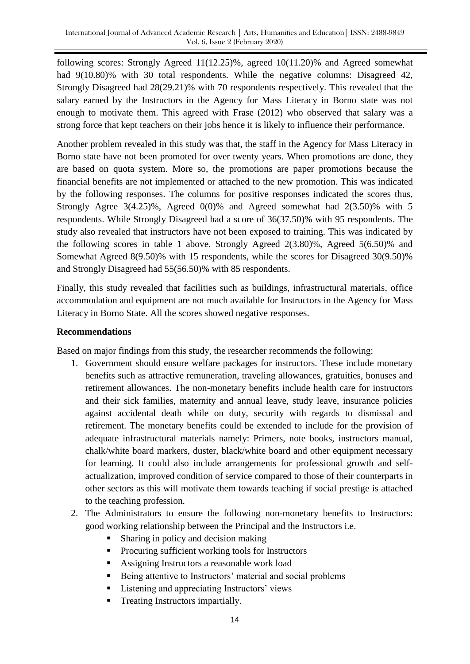following scores: Strongly Agreed 11(12.25)%, agreed 10(11.20)% and Agreed somewhat had 9(10.80)% with 30 total respondents. While the negative columns: Disagreed 42, Strongly Disagreed had 28(29.21)% with 70 respondents respectively. This revealed that the salary earned by the Instructors in the Agency for Mass Literacy in Borno state was not enough to motivate them. This agreed with Frase (2012) who observed that salary was a strong force that kept teachers on their jobs hence it is likely to influence their performance.

Another problem revealed in this study was that, the staff in the Agency for Mass Literacy in Borno state have not been promoted for over twenty years. When promotions are done, they are based on quota system. More so, the promotions are paper promotions because the financial benefits are not implemented or attached to the new promotion. This was indicated by the following responses. The columns for positive responses indicated the scores thus, Strongly Agree 3(4.25)%, Agreed 0(0)% and Agreed somewhat had 2(3.50)% with 5 respondents. While Strongly Disagreed had a score of 36(37.50)% with 95 respondents. The study also revealed that instructors have not been exposed to training. This was indicated by the following scores in table 1 above. Strongly Agreed 2(3.80)%, Agreed 5(6.50)% and Somewhat Agreed 8(9.50)% with 15 respondents, while the scores for Disagreed 30(9.50)% and Strongly Disagreed had 55(56.50)% with 85 respondents.

Finally, this study revealed that facilities such as buildings, infrastructural materials, office accommodation and equipment are not much available for Instructors in the Agency for Mass Literacy in Borno State. All the scores showed negative responses.

## **Recommendations**

Based on major findings from this study, the researcher recommends the following:

- 1. Government should ensure welfare packages for instructors. These include monetary benefits such as attractive remuneration, traveling allowances, gratuities, bonuses and retirement allowances. The non-monetary benefits include health care for instructors and their sick families, maternity and annual leave, study leave, insurance policies against accidental death while on duty, security with regards to dismissal and retirement. The monetary benefits could be extended to include for the provision of adequate infrastructural materials namely: Primers, note books, instructors manual, chalk/white board markers, duster, black/white board and other equipment necessary for learning. It could also include arrangements for professional growth and selfactualization, improved condition of service compared to those of their counterparts in other sectors as this will motivate them towards teaching if social prestige is attached to the teaching profession.
- 2. The Administrators to ensure the following non-monetary benefits to Instructors: good working relationship between the Principal and the Instructors i.e.
	- Sharing in policy and decision making
	- **Procuring sufficient working tools for Instructors**
	- Assigning Instructors a reasonable work load
	- Being attentive to Instructors' material and social problems
	- Listening and appreciating Instructors' views
	- **Treating Instructors impartially.**